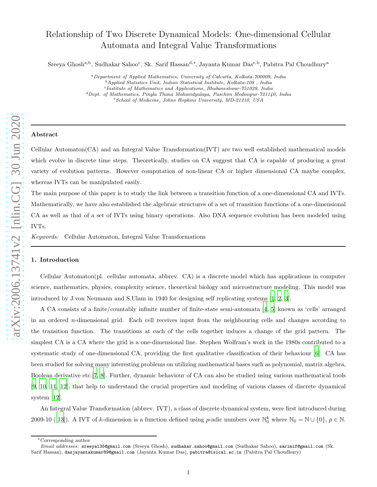# Relationship of Two Discrete Dynamical Models: One-dimensional Cellular Automata and Integral Value Transformations

Sreeya Ghosh<sup>a,b</sup>, Sudhakar Sahoo<sup>c</sup>, Sk. Sarif Hassan<sup>d,\*</sup>, Jayanta Kumar Das<sup>e,b</sup>, Pabitra Pal Choudhury<sup>a</sup>

<sup>a</sup>*Department of Applied Mathematics, University of Calcutta, Kolkata-700009, India* <sup>b</sup>*Applied Statistics Unit, Indian Statistical Institute, Kolkata-108 , India* <sup>c</sup> *Institute of Mathematics and Applications, Bhubaneshwar-751029, India* <sup>d</sup>*Dept. of Mathematics, Pingla Thana Mahavidyalaya, Paschim Medinipur-721140, India* <sup>e</sup>*School of Medicine, Johns Hopkins University, MD-21210, USA*

# Abstract

Cellular Automaton(CA) and an Integral Value Transformation(IVT) are two well established mathematical models which evolve in discrete time steps. Theoretically, studies on CA suggest that CA is capable of producing a great variety of evolution patterns. However computation of non-linear CA or higher dimensional CA maybe complex, whereas IVTs can be manipulated easily.

The main purpose of this paper is to study the link between a transition function of a one-dimensional CA and IVTs. Mathematically, we have also established the algebraic structures of a set of transition functions of a one-dimensional CA as well as that of a set of IVTs using binary operations. Also DNA sequence evolution has been modeled using IVTs.

*Keywords:* Cellular Automaton, Integral Value Transformations

## 1. Introduction

Cellular Automaton(pl. cellular automata, abbrev. CA) is a discrete model which has applications in computer science, mathematics, physics, complexity science, theoretical biology and microstructure modeling. This model was introduced by J.von Neumann and S.Ulam in 1940 for designing self replicating systems [\[1,](#page-11-0) [2,](#page-11-1) [3\]](#page-11-2).

A CA consists of a finite/countably infinite number of finite-state semi-automata [\[4,](#page-11-3) [5](#page-11-4)] known as 'cells' arranged in an ordered n-dimensional grid. Each cell receives input from the neighbouring cells and changes according to the transition function. The transitions at each of the cells together induces a change of the grid pattern. The simplest CA is a CA where the grid is a one-dimensional line. Stephen Wolfram's work in the 1980s contributed to a systematic study of one-dimensional CA, providing the first qualitative classification of their behaviour [\[6](#page-11-5)]. CA has been studied for solving many interesting problems on utilizing mathematical bases such as polynomial, matrix algebra, Boolean derivative etc.[\[7](#page-12-0), [8](#page-12-1)]. Further, dynamic behaviour of CA can also be studied using various mathematical tools [\[9](#page-12-2), [10,](#page-12-3) [11,](#page-12-4) [12](#page-12-5)], that help to understand the crucial properties and modeling of various classes of discrete dynamical system [\[12](#page-12-5)].

An Integral Value Transformation (abbrev. IVT), a class of discrete dynamical system, were first introduced during 2009-10 ([\[13\]](#page-12-6)). A IVT of k-dimension is a function defined using p-adic numbers over  $\mathbb{N}_0^k$  where  $\mathbb{N}_0 = \mathbb{N} \cup \{0\}, p \in \mathbb{N}$ .

<sup>∗</sup>Corresponding author

*Email addresses:* sreeya135@gmail.com (Sreeya Ghosh), sudhakar.sahoo@gmail.com (Sudhakar Sahoo), sarimif@gmail.com (Sk. Sarif Hassan), dasjayantakumar89@gmail.com (Jayanta Kumar Das), pabitra@isical.ac.in (Pabitra Pal Choudhury)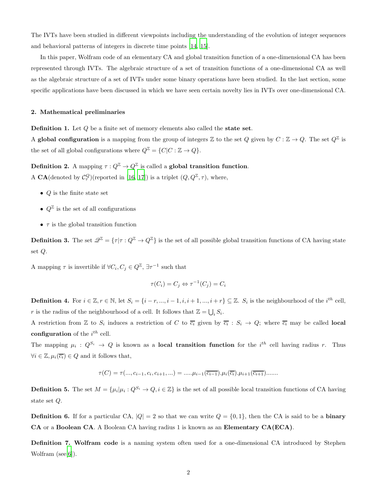The IVTs have been studied in different viewpoints including the understanding of the evolution of integer sequences and behavioral patterns of integers in discrete time points [\[14,](#page-12-7) [15\]](#page-12-8).

In this paper, Wolfram code of an elementary CA and global transition function of a one-dimensional CA has been represented through IVTs. The algebraic structure of a set of transition functions of a one-dimensional CA as well as the algebraic structure of a set of IVTs under some binary operations have been studied. In the last section, some specific applications have been discussed in which we have seen certain novelty lies in IVTs over one-dimensional CA.

## 2. Mathematical preliminaries

Definition 1. Let Q be a finite set of memory elements also called the state set.

A global configuration is a mapping from the group of integers  $\mathbb Z$  to the set Q given by  $C: \mathbb Z \to Q$ . The set  $Q^{\mathbb Z}$  is the set of all global configurations where  $Q^{\mathbb{Z}} = \{C|C : \mathbb{Z} \to Q\}.$ 

**Definition 2.** A mapping  $\tau: Q^{\mathbb{Z}} \to Q^{\mathbb{Z}}$  is called a **global transition function**. A CA(denoted by  $\mathcal{C}_{\tau}^Q$ )(reported in [\[16,](#page-12-9) [17](#page-12-10)]) is a triplet  $(Q, Q^{\mathbb{Z}}, \tau)$ , where,

- $Q$  is the finite state set
- $Q^{\mathbb{Z}}$  is the set of all configurations
- $\tau$  is the global transition function

**Definition 3.** The set  $\mathscr{Q}^{\mathbb{Z}} = \{ \tau | \tau : Q^{\mathbb{Z}} \to Q^{\mathbb{Z}} \}$  is the set of all possible global transition functions of CA having state set Q.

A mapping  $\tau$  is invertible if  $\forall C_i, C_j \in Q^{\mathbb{Z}}, \exists \tau^{-1}$  such that

$$
\tau(C_i) = C_j \Leftrightarrow \tau^{-1}(C_j) = C_i
$$

**Definition 4.** For  $i \in \mathbb{Z}, r \in \mathbb{N}$ , let  $S_i = \{i - r, ..., i - 1, i, i + 1, ..., i + r\} \subseteq \mathbb{Z}$ .  $S_i$  is the neighbourhood of the  $i^{th}$  cell, r is the radius of the neighbourhood of a cell. It follows that  $\mathbb{Z} = \bigcup_i S_i$ .

A restriction from  $\mathbb Z$  to  $S_i$  induces a restriction of C to  $\overline{c_i}$  given by  $\overline{c_i}$ :  $S_i \to Q$ ; where  $\overline{c_i}$  may be called **local** configuration of the  $i^{th}$  cell.

The mapping  $\mu_i: Q^{S_i} \to Q$  is known as a **local transition function** for the *i*<sup>th</sup> cell having radius r. Thus  $\forall i \in \mathbb{Z}, \mu_i(\overline{c_i}) \in Q$  and it follows that,

$$
\tau(C) = \tau(..., c_{i-1}, c_i, c_{i+1}, ...) = .....\mu_{i-1}(\overline{c_{i-1}}) \cdot \mu_i(\overline{c_i}) \cdot \mu_{i+1}(\overline{c_{i+1}}) \dots
$$

**Definition 5.** The set  $M = \{\mu_i | \mu_i : Q^{S_i} \to Q, i \in \mathbb{Z}\}\$ is the set of all possible local transition functions of CA having state set Q.

**Definition 6.** If for a particular CA,  $|Q| = 2$  so that we can write  $Q = \{0, 1\}$ , then the CA is said to be a **binary** CA or a Boolean CA. A Boolean CA having radius 1 is known as an Elementary CA(ECA).

Definition 7. Wolfram code is a naming system often used for a one-dimensional CA introduced by Stephen Wolfram (see[\[6\]](#page-11-5)).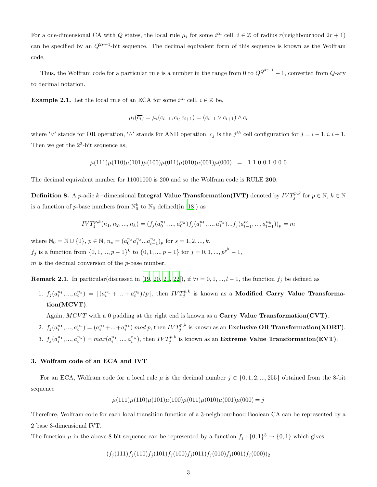For a one-dimensional CA with Q states, the local rule  $\mu_i$  for some  $i^{th}$  cell,  $i \in \mathbb{Z}$  of radius  $r$ (neighbourhood  $2r + 1$ ) can be specified by an  $Q^{2r+1}$ -bit sequence. The decimal equivalent form of this sequence is known as the Wolfram code.

Thus, the Wolfram code for a particular rule is a number in the range from 0 to  $Q^{Q^{2r+1}} - 1$ , converted from  $Q$ -ary to decimal notation.

**Example 2.1.** Let the local rule of an ECA for some  $i^{th}$  cell,  $i \in \mathbb{Z}$  be,

$$
\mu_i(\overline{c_i}) = \mu_i(c_{i-1}, c_i, c_{i+1}) = (c_{i-1} \lor c_{i+1}) \land c_i
$$

where ' $\vee'$  stands for OR operation, ' $\wedge'$  stands for AND operation,  $c_j$  is the j<sup>th</sup> cell configuration for  $j = i - 1, i, i + 1$ . Then we get the  $2^3$ -bit sequence as,

$$
\mu(111)\mu(110)\mu(101)\mu(100)\mu(011)\mu(010)\mu(001)\mu(000) = 1 1 0 0 1 0 0 0
$$

The decimal equivalent number for 11001000 is 200 and so the Wolfram code is RULE 200.

Definition 8. A p-adic  $k-$ dimensional Integral Value Transformation(IVT) denoted by  $IVT^{p,k}_j$  for  $p\in\mathbb{N},$   $k\in\mathbb{N}$ is a function of  $p$ -base numbers from  $\mathbb{N}_0^k$  to  $\mathbb{N}_0$  defined(in [\[18](#page-12-11)]) as

$$
IVT_j^{p,k}(n_1, n_2, ..., n_k) = (f_j(a_0^{n_1}, ..., a_0^{n_k})f_j(a_1^{n_1}, ..., a_1^{n_k})...f_j(a_{l-1}^{n_1}, ..., a_{l-1}^{n_k}))_p = m
$$

where  $\mathbb{N}_0 = \mathbb{N} \cup \{0\}, p \in \mathbb{N}, n_s = (a_0^{n_s} a_1^{n_s} ... a_{l-1}^{n_s})_p$  for  $s = 1, 2, ..., k$ .

 $f_j$  is a function from  $\{0, 1, ..., p-1\}^k$  to  $\{0, 1, ..., p-1\}$  for  $j = 0, 1, ..., p^{p^k} - 1$ ,

 $m$  is the decimal conversion of the  $p$ -base number.

Remark 2.1. In particular(discussed in [\[19,](#page-12-12) [20,](#page-12-13) [21,](#page-12-14) [22\]](#page-12-15)), if  $\forall i = 0, 1, ..., l - 1$ , the function  $f_j$  be defined as

1.  $f_j(a_i^{n_1},...,a_i^{n_k}) = \lfloor (a_i^{n_1}+...+a_i^{n_k})/p \rfloor$ , then  $IVT_j^{p,k}$  is known as a Modified Carry Value Transformation(MCVT).

Again,  $MCVT$  with a 0 padding at the right end is known as a Carry Value Transformation(CVT).

- 2.  $f_j(a_i^{n_1},...,a_i^{n_k}) = (a_i^{n_1}+...+a_i^{n_k}) \bmod p$ , then  $IVT_j^{p,k}$  is known as an **Exclusive OR Transformation(XORT)**.
- 3.  $f_j(a_i^{n_1},...,a_i^{n_k}) = max(a_i^{n_1},...,a_i^{n_k})$ , then  $IVT_j^{p,k}$  is known as an Extreme Value Transformation(EVT).

## 3. Wolfram code of an ECA and IVT

For an ECA, Wolfram code for a local rule  $\mu$  is the decimal number  $j \in \{0, 1, 2, ..., 255\}$  obtained from the 8-bit sequence

$$
\mu(111)\mu(110)\mu(101)\mu(100)\mu(011)\mu(010)\mu(001)\mu(000) = j
$$

Therefore, Wolfram code for each local transition function of a 3-neighbourhood Boolean CA can be represented by a 2 base 3-dimensional IVT.

The function  $\mu$  in the above 8-bit sequence can be represented by a function  $f_j: \{0,1\}^3 \to \{0,1\}$  which gives

$$
(f_j(111)f_j(110)f_j(101)f_j(100)f_j(011)f_j(010)f_j(001)f_j(000))_2
$$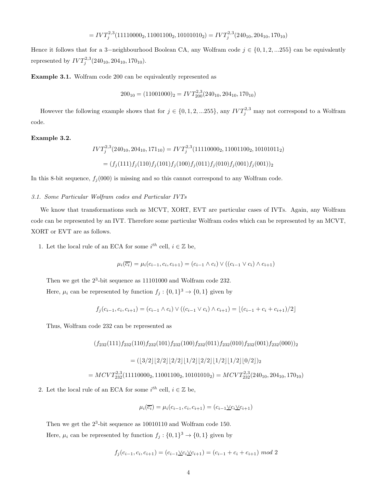$$
=IVT_j^{2,3}(11110000_2,11001100_2,10101010_2)=IVT_j^{2,3}(240_{10},204_{10},170_{10})
$$

Hence it follows that for a 3-neighbourhood Boolean CA, any Wolfram code  $j \in \{0, 1, 2, ... 255\}$  can be equivalently represented by  $IVT_j^{2,3}(240_{10}, 204_{10}, 170_{10}).$ 

Example 3.1. Wolfram code 200 can be equivalently represented as

$$
200_{10} = (11001000)_2 = IV T_{200}^{2,3} (240_{10}, 204_{10}, 170_{10})
$$

However the following example shows that for  $j \in \{0, 1, 2, ... 255\}$ , any  $IVT_j^{2,3}$  may not correspond to a Wolfram code.

## Example 3.2.

$$
IVT_j^{2,3}(240_{10}, 204_{10}, 171_{10}) = IVT_j^{2,3}(11110000_2, 11001100_2, 10101011_2)
$$
  
=  $(f_j(111)f_j(110)f_j(101)f_j(100)f_j(011)f_j(010)f_j(001)f_j(001))_2$ 

In this 8-bit sequence,  $f_i(000)$  is missing and so this cannot correspond to any Wolfram code.

## *3.1. Some Particular Wolfram codes and Particular IVTs*

We know that transformations such as MCVT, XORT, EVT are particular cases of IVTs. Again, any Wolfram code can be represented by an IVT. Therefore some particular Wolfram codes which can be represented by an MCVT, XORT or EVT are as follows.

1. Let the local rule of an ECA for some  $i^{th}$  cell,  $i \in \mathbb{Z}$  be,

$$
\mu_i(\overline{c_i}) = \mu_i(c_{i-1}, c_i, c_{i+1}) = (c_{i-1} \wedge c_i) \vee ((c_{i-1} \vee c_i) \wedge c_{i+1})
$$

Then we get the  $2^3$ -bit sequence as 11101000 and Wolfram code 232. Here,  $\mu_i$  can be represented by function  $f_j: \{0,1\}^3 \to \{0,1\}$  given by

$$
f_j(c_{i-1}, c_i, c_{i+1}) = (c_{i-1} \wedge c_i) \vee ((c_{i-1} \vee c_i) \wedge c_{i+1}) = \lfloor (c_{i-1} + c_i + c_{i+1})/2 \rfloor
$$

Thus, Wolfram code 232 can be represented as

$$
(f_{232}(111)f_{232}(110)f_{232}(101)f_{232}(100)f_{232}(011)f_{232}(010)f_{232}(001)f_{232}(000))
$$

$$
= ([3/2][2/2][2/2][1/2][2/2][1/2][1/2][0/2])
$$

$$
= MCVT_{232}^{2,3}(11110000_2, 11001100_2, 10101010_2) = MCVT_{232}^{2,3}(240_{10}, 204_{10}, 170_{10})
$$

$$
\mathbf{F} \cup \mathbf{F} \cup \mathbf{F} \cup \mathbf{F} \cup \mathbf{F} \cup \mathbf{F} \cup \mathbf{F} \cup \mathbf{F} \cup \mathbf{F} \cup \mathbf{F} \cup \mathbf{F} \cup \mathbf{F} \cup \mathbf{F} \cup \mathbf{F} \cup \mathbf{F} \cup \mathbf{F} \cup \mathbf{F} \cup \mathbf{F} \cup \mathbf{F} \cup \mathbf{F} \cup \mathbf{F} \cup \mathbf{F} \cup \mathbf{F} \cup \mathbf{F} \cup \mathbf{F} \cup \mathbf{F} \cup \mathbf{F} \cup \mathbf{F} \cup \mathbf{F} \cup \mathbf{F} \cup \mathbf{F} \cup \mathbf{F} \cup \mathbf{F} \cup \mathbf{F} \cup \mathbf{F} \cup \mathbf{F} \cup \mathbf{F} \cup \mathbf{F} \cup \mathbf{F} \cup \mathbf{F} \cup \mathbf{F} \cup \mathbf{F} \cup \mathbf{F} \cup \mathbf{F} \cup \mathbf{F} \cup \mathbf{F} \cup \mathbf{F} \cup \mathbf{F} \cup \mathbf{F} \cup \mathbf{F} \cup \mathbf{F} \cup \mathbf{F} \cup \mathbf{F} \cup \mathbf{F} \cup \mathbf{F} \cup \mathbf{F} \cup \mathbf{F} \cup \mathbf{F} \cup \mathbf{F} \cup \mathbf{F} \cup \mathbf{F} \cup \mathbf{F} \cup \mathbf{F} \cup \mathbf{F} \cup \mathbf{F} \cup \mathbf{F} \cup \mathbf{F} \cup \mathbf{F} \cup \mathbf{F} \cup \mathbf{F} \cup \mathbf{F} \cup \mathbf{F} \cup \mathbf{F} \cup \mathbf{F} \cup \mathbf{F} \cup \mathbf{F} \cup \mathbf{F} \cup \mathbf{F} \cup \mathbf{F} \cup \mathbf{F} \cup \mathbf{F} \cup \mathbf{F} \cup \mathbf{F} \cup \mathbf{F} \cup \mathbf{F} \cup \mathbf{F} \cup \mathbf{F} \cup \mathbf{F} \cup \mathbf{F} \cup \mathbf{F} \cup \mathbf{F} \cup \mathbf{F} \cup \mathbf{F} \cup \mathbf{F} \cup \mathbf{F} \cup
$$

2. Let the local rule of an ECA for some  $i^{th}$  cell,  $i \in \mathbb{Z}$  be,

$$
\mu_i(\overline{c_i}) = \mu_i(c_{i-1}, c_i, c_{i+1}) = (c_{i-1} \underline{\vee} c_i \underline{\vee} c_{i+1})
$$

Then we get the  $2^3$ -bit sequence as 10010110 and Wolfram code 150.

Here,  $\mu_i$  can be represented by function  $f_j: \{0,1\}^3 \to \{0,1\}$  given by

$$
f_j(c_{i-1}, c_i, c_{i+1}) = (c_{i-1} \vee c_i \vee c_{i+1}) = (c_{i-1} + c_i + c_{i+1}) \mod 2
$$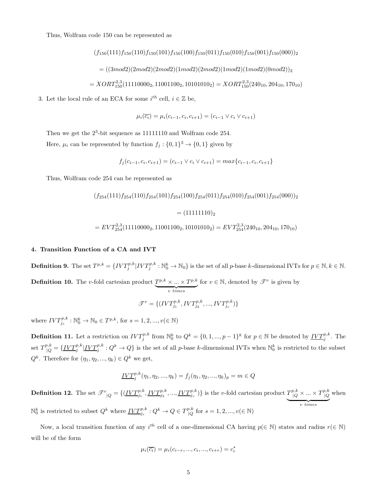Thus, Wolfram code 150 can be represented as

$$
(f_{150}(111)f_{150}(110)f_{150}(101)f_{150}(100)f_{150}(011)f_{150}(010)f_{150}(001)f_{150}(000))
$$
  
= 
$$
((3mod2)(2mod2)(2mod2)(1mod2)(2mod2)(1mod2)(0mod2))
$$
  
= 
$$
XORT_{150}^{2,3}(11110000_2, 11001100_2, 10101010_2) = XORT_{150}^{2,3}(240_{10}, 204_{10}, 170_{10})
$$

3. Let the local rule of an ECA for some  $i^{th}$  cell,  $i \in \mathbb{Z}$  be,

$$
\mu_i(\overline{c_i}) = \mu_i(c_{i-1}, c_i, c_{i+1}) = (c_{i-1} \lor c_i \lor c_{i+1})
$$

Then we get the  $2^3$ -bit sequence as 11111110 and Wolfram code 254. Here,  $\mu_i$  can be represented by function  $f_j: \{0,1\}^3 \to \{0,1\}$  given by

$$
f_j(c_{i-1}, c_i, c_{i+1}) = (c_{i-1} \lor c_i \lor c_{i+1}) = max\{c_{i-1}, c_i, c_{i+1}\}\
$$

Thus, Wolfram code 254 can be represented as

$$
(f_{254}(111)f_{254}(110)f_{254}(101)f_{254}(100)f_{254}(011)f_{254}(010)f_{254}(001)f_{254}(000))_2
$$
  
= (11111110)<sub>2</sub>  
=  $EVT_{254}^{2,3}(11110000_2, 11001100_2, 10101010_2) = EVT_{254}^{2,3}(240_{10}, 204_{10}, 170_{10})$ 

#### 4. Transition Function of a CA and IVT

**Definition 9.** The set  $T^{p,k} = \{IVT^{p,k}_j|IVT^{p,k}_j:\mathbb{N}^k_0 \to \mathbb{N}_0\}$  is the set of all p-base k-dimensional IVTs for  $p \in \mathbb{N}, k \in \mathbb{N}$ . **Definition 10.** The *v*-fold cartesian product  $T^{p,k} \times \ldots \times T^{p,k}$  $\overline{v \times v}$ for  $v \in \mathbb{N}$ , denoted by  $\mathscr{T}^v$  is given by

$$
\mathcal{T}^v = \{ (IVT_{j_1}^{p,k},IVT_{j_2}^{p,k},...,IVT_{j_v}^{p,k}) \}
$$

where  $IVT_{j_s}^{p,k}: \mathbb{N}_0^k \to \mathbb{N}_0 \in T^{p,k}$ , for  $s = 1, 2, ..., v(\in \mathbb{N})$ 

**Definition 11.** Let a restriction on  $IVT_j^{p,k}$  from  $\mathbb{N}_0^k$  to  $Q^k = \{0, 1, ..., p-1\}^k$  for  $p \in \mathbb{N}$  be denoted by  $\underline{IVT_j^{p,k}}$ . The set  $T^{p,k}_{\vert Q} = \{\underline{IVT^{p,k}_j} | \underline{IVT^{p,k}_j} : Q^k \to Q \}$  is the set of all p-base k-dimensional IVTs when  $\mathbb{N}^k_0$  is restricted to the subset  $Q^k$ . Therefore for  $(\eta_1, \eta_2, ..., \eta_k) \in Q^k$  we get,

$$
\underline{IVT_j^{p,k}}(\eta_1, \eta_2, ..., \eta_k) = f_j(\eta_1, \eta_2, ..., \eta_k)_p = m \in Q
$$

**Definition 12.** The set  $\mathcal{F}^v_{\vert Q} = \{(\underline{IVT}_{j_1}^{p,k}, \underline{IVT}_{j_2}^{p,k}, ..., \underline{IVT}_{j_v}^{p,k})\}\$ is the v-fold cartesian product  $T^{p,k}_{\vert Q} \times ... \times T^{p,k}_{\vert Q}$  $|Q$  $$ when  $\mathbb{N}_0^k$  is restricted to subset  $Q^k$  where  $\underline{IVT}_{j_s}^{p,k}: Q^k \to Q \in T^{p,k}_{\mid Q}$  $\int_{Q}^{p,k}$  for  $s = 1, 2, ..., v(\in \mathbb{N})$ 

Now, a local transition function of any  $i^{th}$  cell of a one-dimensional CA having  $p(\in \mathbb{N})$  states and radius  $r(\in \mathbb{N})$ will be of the form

$$
\mu_i(\overline{c_i}) = \mu_i(c_{i-r},...,c_i,...,c_{i+r}) = c_i^*
$$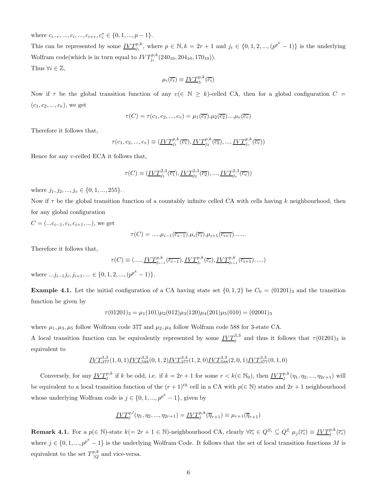where  $c_{i-r}, ..., c_i, ..., c_{i+r}, c_i^* \in \{0, 1, ..., p-1\}.$ 

This can be represented by some  $\underline{IVT}_{j_i}^{p,k}$ , where  $p \in \mathbb{N}$ ,  $k = 2r + 1$  and  $j_i \in \{0, 1, 2, ..., (p^{p^k} - 1)\}$  is the underlying Wolfram code(which is in turn equal to  $IVT_{j_i}^{p,k}(240_{10}, 204_{10}, 170_{10})$ ). Thus  $\forall i \in \mathbb{Z}$ .

 $\mu_i(\overline{c_i}) \equiv \underline{IVT}_{j_i}^{p,k}(\overline{c_i})$ 

Now if  $\tau$  be the global transition function of any  $v(\in \mathbb{N} \geq k)$ -celled CA, then for a global configuration  $C =$  $(c_1, c_2, ..., c_v)$ , we get

$$
\tau(C) = \tau(c_1, c_2, ..., c_v) = \mu_1(\overline{c_1}).\mu_2(\overline{c_2}).... \mu_v(\overline{c_v})
$$

Therefore it follows that,

$$
\tau(c_1, c_2, ..., c_v) \equiv (\underline{IVT}_{j_1}^{p,k}(\overline{c_1}), \underline{IVT}_{j_2}^{p,k}(\overline{c_2}), ..., \underline{IVT}_{j_v}^{p,k}(\overline{c_v}))
$$

Hence for any  $v$ -celled ECA it follows that,

$$
\tau(C) \equiv (\underline{IVT}_{j_1}^{2,3}(\overline{c_1}), \underline{IVT}_{j_2}^{2,3}(\overline{c_2}), ..., \underline{IVT}_{j_v}^{2,3}(\overline{c_v}))
$$

where  $j_1, j_2, ..., j_v \in \{0, 1, ..., 255\}.$ 

Now if  $\tau$  be the global transition function of a countably infinite celled CA with cells having k neighbourhood, then for any global configuration

 $C = (...c_{i-1}, c_i, c_{i+1}, ...)$ , we get

$$
\tau(C) = \dots \mu_{i-1}(\overline{c_{i-1}}) \cdot \mu_i(\overline{c_i}) \cdot \mu_{i+1}(\overline{c_{i+1}}) \dots \dots
$$

Therefore it follows that,

$$
\tau(C) \equiv (...., \underline{IVT}_{j_{i-1}}^{p,k}(\overline{c_{i-1}}), \underline{IVT}_{j_i}^{p,k}(\overline{c_i}), \underline{IVT}_{j_{i+1}}^{p,k}(\overline{c_{i+1}}), ....)
$$

where  $...j_{i-1}j_i, j_{i+1}, ... \in \{0, 1, 2, ..., (p^{p^k} - 1)\}.$ 

**Example 4.1.** Let the initial configuration of a CA having state set  $\{0, 1, 2\}$  be  $C_0 = (01201)_3$  and the transition function be given by

$$
\tau(01201)_3 = \mu_1(101)\mu_2(012)\mu_3(120)\mu_4(201)\mu_5(010) = (02001)_3
$$

where  $\mu_1, \mu_3, \mu_5$  follow Wolfram code 377 and  $\mu_2, \mu_4$  follow Wolfram code 588 for 3-state CA. A local transition function can be equivalently represented by some  $IVT_j^{3,3}$  and thus it follows that  $\tau(01201)_3$  is equivalent to

$$
\underline{IVT}_{377}^{3,3}(1,0,1)\underline{IVT}_{588}^{3,3}(0,1,2)\underline{IVT}_{377}^{3,3}(1,2,0)\underline{IVT}_{588}^{3,3}(2,0,1)\underline{IVT}_{377}^{3,3}(0,1,0)
$$

Conversely, for any  $\underline{IVT_j^{p,k}}$  if k be odd, i.e. if  $k = 2r + 1$  for some  $r < k (\in \mathbb{N}_0)$ , then  $\underline{IVT_j^{p,k}}(\eta_1, \eta_2, ..., \eta_{2r+1})$  will be equivalent to a local transition function of the  $(r+1)^{th}$  cell in a CA with  $p(\in \mathbb{N})$  states and  $2r+1$  neighbourhood whose underlying Wolfram code is  $j \in \{0, 1, ..., p^{p^k} - 1\}$ , given by

$$
\underline{IVT}^{q,l}_{j}(\eta_1, \eta_2, ..., \eta_{2r+1}) = \underline{IVT}^{p,k}_{j}(\overline{\eta}_{r+1}) \equiv \mu_{r+1}(\overline{\eta}_{r+1})
$$

**Remark 4.1.** For a  $p(\in \mathbb{N})$ -state  $k(=2r+1 \in \mathbb{N})$ -neighbourhood CA, clearly  $\forall \overline{c_i} \in Q^{S_i} \subseteq Q^{\mathbb{Z}}$   $\mu_j(\overline{c_i}) \equiv \underline{IVT_j^{p,k}}(\overline{c_i})$ where  $j \in \{0, 1, ..., p^{p^k} - 1\}$  is the underlying Wolfram Code. It follows that the set of local transition functions M is equivalent to the set  $T^{p,k}_{\vert O}$  $\big|_{Q}^{^{9,\kappa}}$  and vice-versa.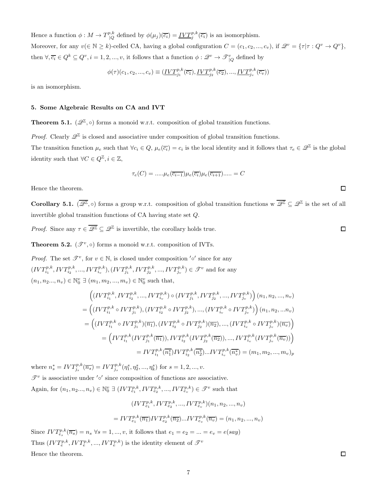Hence a function  $\phi: M \to T^{p,k}_{\vert \Omega}$ <sup>*o*,*k*</sup> defined by  $\phi(\mu_j)(\overline{c_i}) = \underline{IVT_j^{p,k}}(\overline{c_i})$  is an isomorphism. Moreover, for any  $v(\in \mathbb{N} \geq k)$ -celled CA, having a global configuration  $C = (c_1, c_2, ..., c_v)$ , if  $\mathscr{Q}^v = \{\tau | \tau : Q^v \to Q^v\}$ , then  $\forall \overline{c_i} \in Q^k \subseteq Q^v, i = 1, 2, ..., v$ , it follows that a function  $\phi: \mathscr{Q}^v \to \mathscr{T}_{|Q|}^v$  defined by

$$
\phi(\tau)(c_1, c_2, ..., c_v) \equiv (\underline{IVT}_{j_1}^{p,k}(\overline{c_1}), \underline{IVT}_{j_2}^{p,k}(\overline{c_2}), ..., \underline{IVT}_{j_v}^{p,k}(\overline{c_v}))
$$

is an isomorphism.

#### 5. Some Algebraic Results on CA and IVT

**Theorem 5.1.**  $(\mathscr{Q}^{\mathbb{Z}}, \circ)$  forms a monoid w.r.t. composition of global transition functions.

*Proof.* Clearly  $\mathscr{Q}^{\mathbb{Z}}$  is closed and associative under composition of global transition functions.

The transition function  $\mu_e$  such that  $\forall c_i \in Q$ ,  $\mu_e(\overline{c_i}) = c_i$  is the local identity and it follows that  $\tau_e \in \mathscr{Q}^{\mathbb{Z}}$  is the global identity such that  $\forall C \in Q^{\mathbb{Z}}, i \in \mathbb{Z}$ ,

$$
\tau_e(C) = \dots \mu_e(\overline{c_{i-1}})\mu_e(\overline{c_i})\mu_e(\overline{c_{i+1}})\dots = C
$$

Hence the theorem.

**Corollary 5.1.** ( $\overline{\mathscr{Q}^{\mathbb{Z}}}, \circ$ ) forms a group w.r.t. composition of global transition functions w  $\overline{\mathscr{Q}^{\mathbb{Z}}} \subseteq \mathscr{Q}^{\mathbb{Z}}$  is the set of all invertible global transition functions of CA having state set Q.

*Proof.* Since any  $\tau \in \overline{\mathscr{Q}^{\mathbb{Z}}} \subseteq \mathscr{Q}^{\mathbb{Z}}$  is invertible, the corollary holds true.

**Theorem 5.2.** ( $\mathscr{T}^v$ , $\circ$ ) forms a monoid w.r.t. composition of IVTs.

*Proof.* The set  $\mathscr{T}^v$ , for  $v \in \mathbb{N}$ , is closed under composition ' $\circ'$  since for any  $(IVT_{i_1}^{p,k},IVT_{i_2}^{p,k},...,IVT_{i_v}^{p,k}),(IVT_{j_1}^{p,k},IVT_{j_2}^{p,k},...,IVT_{j_v}^{p,k}) \in \mathscr{T}^v$  and for any  $(n_1, n_2..., n_v) \in \mathbb{N}_0^v \; \exists (m_1, m_2, ..., m_v) \in \mathbb{N}_0^v \text{ such that, }$ 

$$
\begin{split} &\left((IVT_{i_1}^{p,k},IVT_{i_2}^{p,k},...,IVT_{i_v}^{p,k})\circ (IVT_{j_1}^{p,k},IVT_{j_2}^{p,k},...,IVT_{j_v}^{p,k})\right)(n_1,n_2,...,n_v)\\ &=\left((IVT_{i_1}^{p,k}\circ IVT_{j_1}^{p,k}),(IVT_{i_2}^{p,k}\circ IVT_{j_2}^{p,k}),...,(IVT_{i_v}^{p,k}\circ IVT_{j_v}^{p,k})\right)(n_1,n_2,...n_v)\\ &=\left((IVT_{i_1}^{p,k}\circ IVT_{j_1}^{p,k})(\overline{n_1}),(IVT_{i_2}^{p,k}\circ IVT_{j_2}^{p,k})(\overline{n_2}),...,(IVT_{i_v}^{p,k}\circ IVT_{j_v}^{p,k})(\overline{n_v})\right)\\ &=\left(IVT_{i_1}^{p,k}(IVT_{j_1}^{p,k}(\overline{n_1})),IVT_{i_2}^{p,k}(IVT_{j_2}^{p,k}(\overline{n_2})),...,IVT_{i_v}^{p,k}(IVT_{j_v}^{p,k}(\overline{n_v}))\right)\\ &=IVT_{i_1}^{p,k}(\overline{n_1^*})IVT_{i_2}^{p,k}(\overline{n_2^*})...IVT_{i_v}^{p,k}(\overline{n_v^*})=(m_1,m_2,...,m_v)_p\end{split}
$$

where  $n_s^* = IVT_{j_s}^{p,k}(\overline{n_s}) = IVT_{j_s}^{p,k}(\eta_1^s, \eta_2^s, ..., \eta_k^s)$  for  $s = 1, 2, ..., v$ .  $\mathscr{T}^v$  is associative under '∘' since composition of functions are associative.

Again, for  $(n_1, n_2..., n_v) \in \mathbb{N}_0^v \exists (IVT_{e_1}^{p,k}, IVT_{e_2}^{p,k}, ..., IVT_{e_v}^{p,k}) \in \mathcal{F}^v$  such that

$$
(IVT_{e_1}^{p,k},IVT_{e_2}^{p,k},...,IVT_{e_v}^{p,k})(n_1, n_2,..., n_v)
$$

$$
= IVT_{e_1}^{p,k}(\overline{n_1})IVT_{e_2}^{p,k}(\overline{n_2})...IVT_{e_v}^{p,k}(\overline{n_v}) = (n_1, n_2,..., n_v)
$$

Since  $IVT_{e_s}^{p,k}(\overline{n_s}) = n_s \ \forall s = 1, ..., v$ , it follows that  $e_1 = e_2 = ... = e_v = e(say)$ Thus  $(IVT_e^{p,k},IVT_e^{p,k},...,IVT_e^{p,k})$  is the identity element of  $\mathscr{T}^v$ Hence the theorem.

 $\Box$ 

 $\Box$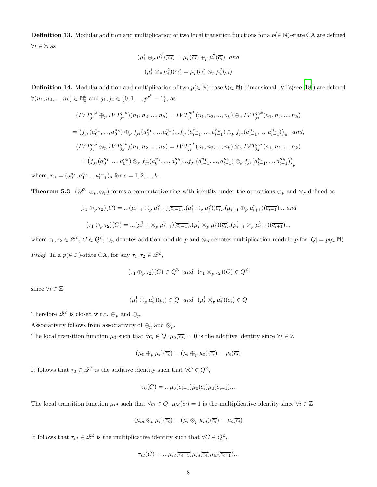**Definition 13.** Modular addition and multiplication of two local transition functions for a  $p(\in \mathbb{N})$ -state CA are defined  $\forall i \in \mathbb{Z}$  as

$$
(\mu_i^1 \oplus_p \mu_i^2)(\overline{c_i}) = \mu_i^1(\overline{c_i}) \oplus_p \mu_i^2(\overline{c_i}) \text{ and}
$$

$$
(\mu_i^1 \otimes_p \mu_i^2)(\overline{c_i}) = \mu_i^1(\overline{c_i}) \otimes_p \mu_i^2(\overline{c_i})
$$

**Definition 14.** Modular addition and multiplication of two  $p(\in \mathbb{N})$ -base  $k(\in \mathbb{N})$ -dimensional IVTs(see [\[18\]](#page-12-11)) are defined  $\forall (n_1, n_2, ..., n_k) \in \mathbb{N}_0^k$  and  $j_1, j_2 \in \{0, 1, ..., p^{p^k} - 1\}$ , as

$$
(IVT_{j_1}^{p,k} \oplus_p IVT_{j_2}^{p,k})(n_1, n_2, ..., n_k) = IVT_{j_1}^{p,k}(n_1, n_2, ..., n_k) \oplus_p IVT_{j_2}^{p,k}(n_1, n_2, ..., n_k)
$$
  
= 
$$
(f_{j_1}(a_0^{n_1}, ..., a_0^{n_k}) \oplus_p f_{j_2}(a_0^{n_1}, ..., a_0^{n_k})...f_{j_1}(a_{l-1}^{n_1}, ..., a_{l-1}^{n_k}) \oplus_p f_{j_2}(a_{l-1}^{n_1}, ..., a_{l-1}^{n_k}))_p
$$
 and,  

$$
(IVT_{j_1}^{p,k} \otimes_p IVT_{j_2}^{p,k})(n_1, n_2, ..., n_k) = IVT_{j_1}^{p,k}(n_1, n_2, ..., n_k) \otimes_p IVT_{j_2}^{p,k}(n_1, n_2, ..., n_k)
$$
  
= 
$$
(f_{j_1}(a_0^{n_1}, ..., a_0^{n_k}) \otimes_p f_{j_2}(a_0^{n_1}, ..., a_0^{n_k})...f_{j_1}(a_{l-1}^{n_1}, ..., a_{l-1}^{n_k}) \otimes_p f_{j_2}(a_{l-1}^{n_1}, ..., a_{l-1}^{n_k}))_p
$$

where,  $n_s = (a_0^{n_s}, a_1^{n_s}..., a_{l-1}^{n_s})_p$  for  $s = 1, 2, ..., k$ .

**Theorem 5.3.**  $(\mathscr{Q}^{\mathbb{Z}}, \oplus_p, \otimes_p)$  forms a commutative ring with identity under the operations  $\oplus_p$  and  $\otimes_p$  defined as

$$
(\tau_1 \oplus_p \tau_2)(C) = \dots(\mu_{i-1}^1 \oplus_p \mu_{i-1}^2)(\overline{c_{i-1}}) \cdot (\mu_i^1 \oplus_p \mu_i^2)(\overline{c_i}) \cdot (\mu_{i+1}^1 \oplus_p \mu_{i+1}^2)(\overline{c_{i+1}}) \dots \text{ and}
$$
  

$$
(\tau_1 \otimes_p \tau_2)(C) = \dots(\mu_{i-1}^1 \otimes_p \mu_{i-1}^2)(\overline{c_{i-1}}) \cdot (\mu_i^1 \otimes_p \mu_i^2)(\overline{c_i}) \cdot (\mu_{i+1}^1 \otimes_p \mu_{i+1}^2)(\overline{c_{i+1}}) \dots
$$

where  $\tau_1, \tau_2 \in \mathscr{Q}^{\mathbb{Z}}, C \in Q^{\mathbb{Z}}, \oplus_p$  denotes addition modulo p and  $\otimes_p$  denotes multiplication modulo p for  $|Q| = p(\in \mathbb{N})$ . *Proof.* In a  $p(\in \mathbb{N})$ -state CA, for any  $\tau_1, \tau_2 \in \mathscr{Q}^{\mathbb{Z}},$ 

$$
(\tau_1 \oplus_p \tau_2)(C) \in Q^{\mathbb{Z}} \quad and \quad (\tau_1 \otimes_p \tau_2)(C) \in Q^{\mathbb{Z}}
$$

since  $\forall i \in \mathbb{Z}$ ,

$$
(\mu_i^1 \oplus_p \mu_i^2)(\overline{c_i}) \in Q \quad and \quad (\mu_i^1 \otimes_p \mu_i^2)(\overline{c_i}) \in Q
$$

Therefore  $\mathscr{Q}^{\mathbb{Z}}$  is closed w.r.t.  $\oplus_p$  and  $\otimes_p$ .

Associativity follows from associativity of  $\oplus_p$  and  $\otimes_p$ .

The local transition function  $\mu_0$  such that  $\forall c_i \in Q$ ,  $\mu_0(\overline{c_i}) = 0$  is the additive identity since  $\forall i \in \mathbb{Z}$ 

$$
(\mu_0 \oplus_p \mu_i)(\overline{c_i}) = (\mu_i \oplus_p \mu_0)(\overline{c_i}) = \mu_i(\overline{c_i})
$$

It follows that  $\tau_0 \in \mathscr{Q}^{\mathbb{Z}}$  is the additive identity such that  $\forall C \in Q^{\mathbb{Z}},$ 

$$
\tau_0(C) = \dots \mu_0(\overline{c_{i-1}})\mu_0(\overline{c_i})\mu_0(\overline{c_{i+1}})\dots
$$

The local transition function  $\mu_{id}$  such that  $\forall c_i \in Q$ ,  $\mu_{id}(\overline{c_i}) = 1$  is the multiplicative identity since  $\forall i \in \mathbb{Z}$ 

$$
(\mu_{id} \otimes_p \mu_i)(\overline{c_i}) = (\mu_i \otimes_p \mu_{id})(\overline{c_i}) = \mu_i(\overline{c_i})
$$

It follows that  $\tau_{id} \in \mathscr{Q}^{\mathbb{Z}}$  is the multiplicative identity such that  $\forall C \in Q^{\mathbb{Z}},$ 

$$
\tau_{id}(C) = \dots \mu_{id}(\overline{c_{i-1}}) \mu_{id}(\overline{c_i}) \mu_{id}(\overline{c_{i+1}}) \dots
$$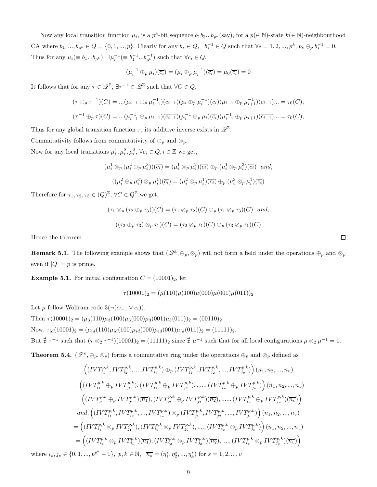Now any local transition function  $\mu_i$ , is a  $p^k$ -bit sequence  $b_1b_2...b_{p^k}$  (say), for a  $p(\in \mathbb{N})$ -state  $k(\in \mathbb{N})$ -neighbourhood CA where  $b_1, ..., b_{p^k} \in Q = \{0, 1, ..., p\}$ . Clearly for any  $b_s \in Q$ ,  $\exists b_s^{-1} \in Q$  such that  $\forall s = 1, 2, ..., p^k$ ,  $b_s \oplus_p b_s^{-1} = 0$ . Thus for any  $\mu_i(\equiv b_1...b_{p^k}), \exists \mu_i^{-1}(\equiv b_1^{-1}...b_{p^k}^{-1})$  such that  $\forall c_i \in Q$ ,

$$
(\mu_i^{-1} \oplus_p \mu_i)(\overline{c_i}) = (\mu_i \oplus_p \mu_i^{-1})(\overline{c_i}) = \mu_0(\overline{c_i}) = 0
$$

It follows that for any  $\tau \in \mathscr{Q}^{\mathbb{Z}}, \exists \tau^{-1} \in \mathscr{Q}^{\mathbb{Z}}$  such that  $\forall C \in Q$ ,

$$
(\tau \oplus_p \tau^{-1})(C) = ...(\mu_{i-1} \oplus_p \mu_{i-1}^{-1})(\overline{c_{i-1}})(\mu_i \oplus_p \mu_i^{-1})(\overline{c_i})(\mu_{i+1} \oplus_p \mu_{i+1}^{-1})(\overline{c_{i+1}})... = \tau_0(C),
$$
  

$$
(\tau^{-1} \oplus_p \tau)(C) = ...(\mu_{i-1}^{-1} \oplus_p \mu_{i-1})(\overline{c_{i-1}})(\mu_i^{-1} \oplus_p \mu_i)(\overline{c_i})(\mu_{i+1}^{-1} \oplus_p \mu_{i+1})(\overline{c_{i+1}})... = \tau_0(C),
$$

Thus for any global transition function  $\tau$ , its additive inverse exists in  $\mathscr{Q}^{\mathbb{Z}}$ .

Commutativity follows from commutativity of  $\oplus_p$  and  $\otimes_p$ .

Now for any local transitions  $\mu_i^1, \mu_i^2, \mu_i^3, \forall c_i \in Q, i \in \mathbb{Z}$  we get,

$$
(\mu_i^1 \otimes_p (\mu_i^2 \oplus_p \mu_i^3))(\overline{c_i}) = (\mu_i^1 \otimes_p \mu_i^2)(\overline{c_i}) \oplus_p (\mu_i^1 \otimes_p \mu_i^3)(\overline{c_i}) \text{ and,}
$$
  

$$
((\mu_i^2 \oplus_p \mu_i^3) \otimes_p \mu_i^1)(\overline{c_i}) = (\mu_i^2 \otimes_p \mu_i^1)(\overline{c_i}) \oplus_p (\mu_i^3 \otimes_p \mu_i^1)(\overline{c_i})
$$

Therefore for  $\tau_1, \tau_2, \tau_3 \in (Q)^{\mathbb{Z}}$ ,  $\forall C \in Q^{\mathbb{Z}}$  we get,

$$
(\tau_1 \otimes_p (\tau_2 \oplus_p \tau_3))(C) = (\tau_1 \otimes_p \tau_2)(C) \oplus_p (\tau_1 \otimes_p \tau_3)(C) \text{ and,}
$$

$$
((\tau_2 \oplus_p \tau_3) \otimes_p \tau_1)(C) = (\tau_2 \otimes_p \tau_1)(C) \oplus_p (\tau_3 \otimes_p \tau_1)(C)
$$

Hence the theorem.

**Remark 5.1.** The following example shows that  $(\mathscr{Q}^{\mathbb{Z}}, \oplus_p, \otimes_p)$  will not form a field under the operations  $\oplus_p$  and  $\otimes_p$ even if  $|Q| = p$  is prime.

**Example 5.1.** For initial configuration  $C = (10001)_2$ , let

$$
\tau(10001)_2 = (\mu(110)\mu(100)\mu(000)\mu(001)\mu(011))_2
$$

Let  $\mu$  follow Wolfram code 3(¬ $(c_{i-1} \vee c_i)$ ).

Then  $\tau(10001)_2 = (\mu_3(110)\mu_3(100)\mu_3(000)\mu_3(001)\mu_3(011))_2 = (00110)_2.$ Now,  $\tau_{id}(10001)_2 = (\mu_{id}(110)\mu_{id}(100)\mu_{id}(000)\mu_{id}(001)\mu_{id}(011))_2 = (11111)_2.$ But  $\neq \tau^{-1}$  such that  $(\tau \otimes_2 \tau^{-1})(10001)_2 = (11111)_2$  since  $\neq \mu^{-1}$  such that for all local configurations  $\mu \otimes_2 \mu^{-1} = 1$ .

**Theorem 5.4.**  $(\mathscr{T}^v, \oplus_p, \otimes_p)$  forms a commutative ring under the operations  $\oplus_p$  and  $\otimes_p$  defined as

$$
\begin{split}\n&\left((IVT_{i_1}^{p,k},IVT_{i_2}^{p,k},...,IVT_{i_v}^{p,k})\oplus_p (IVT_{j_1}^{p,k},IVT_{j_2}^{p,k},...,IVT_{j_v}^{p,k})\right)(n_1, n_2, ..., n_v) \\
&=\left((IVT_{i_1}^{p,k}\oplus_p IVT_{j_1}^{p,k}),(IVT_{i_2}^{p,k}\oplus_p IVT_{j_2}^{p,k}),.....,(IVT_{i_v}^{p,k}\oplus_p IVT_{j_v}^{p,k})\right)(n_1, n_2, ..., n_v) \\
&=\left((IVT_{i_1}^{p,k}\oplus_p IVT_{j_1}^{p,k})(\overline{n_1}),(IVT_{i_2}^{p,k}\oplus_p IVT_{j_2}^{p,k})(\overline{n_2}),.....,(IVT_{i_v}^{p,k}\oplus_p IVT_{j_v}^{p,k})(\overline{n_v})\right) \\
&\quad \text{and},\left((IVT_{i_1}^{p,k},IVT_{i_2}^{p,k},...,IVT_{i_v}^{p,k})\otimes_p (IVT_{j_1}^{p,k},IVT_{j_2}^{p,k},...,IVT_{j_v}^{p,k})\right)(n_1, n_2, ..., n_v) \\
&=\left((IVT_{i_1}^{p,k}\otimes_p IVT_{j_1}^{p,k}),(IVT_{i_2}^{p,k}\otimes_p IVT_{j_2}^{p,k}),....,(IVT_{i_v}^{p,k}\otimes_p IVT_{j_v}^{p,k})\right)(n_1, n_2, ..., n_v) \\
&=\left((IVT_{i_1}^{p,k}\otimes_p IVT_{j_1}^{p,k})(\overline{n_1}),(IVT_{i_2}^{p,k}\otimes_p IVT_{j_2}^{p,k})(\overline{n_2}),....,(IVT_{i_v}^{p,k}\otimes_p IVT_{j_v}^{p,k})(\overline{n_v})\right) \\
&\quad \text{for all } n \in \mathbb{N}, \quad \text{and } n \in \mathbb{N}, \quad \text{and } n \in \mathbb{N}, \quad n \in \mathbb{N}, \quad n \in \mathbb{N}, \quad n \in \mathbb{N}, \quad n \in \mathbb{N}, \quad n \in \mathbb{N}, \quad n \in \mathbb{N}, \quad n \in \mathbb{N}, \quad n \in \mathbb{N}, \quad n \in \mathbb{N}, \quad n \in \mathbb{N}, \
$$

where  $i_s, j_s \in \{0, 1, ..., p^{p^k} - 1\}, p, k \in \mathbb{N}, \quad \overline{n_s} = (\eta_1^s, \eta_2^s, ..., \eta_k^s)$  for  $s = 1, 2, ..., v$ 

 $\Box$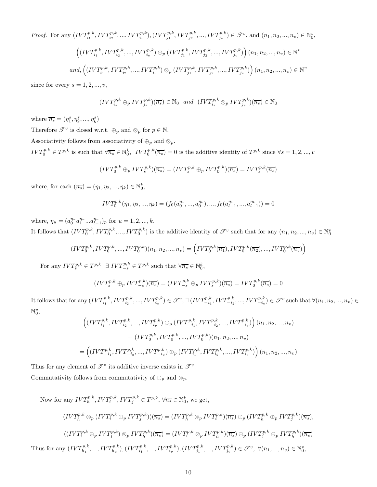*Proof.* For any  $(IVT_{i_1}^{p,k},IVT_{i_2}^{p,k},...,IVT_{i_v}^{p,k}), (IVT_{j_1}^{p,k},IVT_{j_2}^{p,k},...,IVT_{j_v}^{p,k}) \in \mathcal{F}^v$ , and  $(n_1, n_2,...,n_v) \in \mathbb{N}_0^v$ ,  $\left((IVT_{i_1}^{p,k},IVT_{i_2}^{p,k},...,IVT_{i_v}^{p,k}) \oplus_p (IVT_{j_1}^{p,k},IVT_{j_2}^{p,k},...,IVT_{j_v}^{p,k})\right)(n_1,n_2,...,n_v) \in \mathbb{N}^v$  $and, \left((IVT_{i_1}^{p,k},IVT_{i_2}^{p,k},...,IVT_{i_v}^{p,k})\otimes_p (IVT_{j_1}^{p,k},IVT_{j_2}^{p,k},...,IVT_{j_v}^{p,k})\right)(n_1, n_2,...,n_v)\in \mathbb{N}^v$ 

since for every  $s = 1, 2, ..., v$ ,

$$
(IVT_{i_s}^{p,k} \oplus_p IVT_{j_s}^{p,k})(\overline{n_s}) \in \mathbb{N}_0 \quad and \quad (IVT_{i_s}^{p,k} \otimes_p IVT_{j_s}^{p,k})(\overline{n_s}) \in \mathbb{N}_0
$$

where  $\overline{n_s} = (\eta_1^s, \eta_2^s, ..., \eta_k^s)$ 

Therefore  $\mathscr{T}^v$  is closed w.r.t.  $\oplus_p$  and  $\otimes_p$  for  $p \in \mathbb{N}$ .

Associativity follows from associativity of  $\oplus_p$  and  $\otimes_p$ .

 $IVT_0^{p,k} \in T^{p,k}$  is such that  $\forall \overline{n_s} \in \mathbb{N}_0^k$ ,  $IVT_0^{p,k}(\overline{n_s}) = 0$  is the additive identity of  $T^{p,k}$  since  $\forall s = 1, 2, ..., v$ 

$$
(IVT_0^{p,k} \oplus_p IVT_s^{p,k})(\overline{n_s}) = (IVT_s^{p,k} \oplus_p IVT_0^{p,k})(\overline{n_s}) = IVT_s^{p,k}(\overline{n_s})
$$

where, for each  $(\overline{n_s}) = (\eta_1, \eta_2, ..., \eta_k) \in \mathbb{N}_0^k$ ,

$$
IVT_0^{p,k}(\eta_1, \eta_2, ..., \eta_k) = (f_0(a_0^{\eta_1}, ..., a_0^{\eta_k}), ..., f_0(a_{l-1}^{\eta_1}, ..., a_{l-1}^{\eta_k})) = 0
$$

where,  $\eta_u = (a_0^{\eta_u} a_1^{\eta_u} ... a_{l-1}^{\eta_u})_p$  for  $u = 1, 2, ..., k$ . It follows that  $(IVT_0^{p,k}, IVT_0^{p,k}, ..., IVT_0^{p,k})$  is the additive identity of  $\mathscr{T}^v$  such that for any  $(n_1, n_2, ..., n_v) \in \mathbb{N}_0^v$ 

$$
(IVT_0^{p,k},IVT_0^{p,k},...,IVT_0^{p,k})(n_1,n_2,...,n_v) = \left(IVT_0^{p,k}(\overline{n_1}),IVT_0^{p,k}(\overline{n_2}),...,IVT_0^{p,k}(\overline{n_v})\right)
$$

For any  $IVT_s^{p,k} \in T^{p,k} \exists IVT_{-s}^{p,k} \in T^{p,k}$  such that  $\forall \overline{n_s} \in \mathbb{N}_0^k$ ,

$$
(IVT_s^{p,k} \oplus_p IVT_{-s}^{p,k})(\overline{n_s}) = (IVT_{-s}^{p,k} \oplus_p IVT_s^{p,k})(\overline{n_s}) = IVT_0^{p,k}(\overline{n_s}) = 0
$$

It follows that for any  $(IVT_{i_1}^{p,k},IVT_{i_2}^{p,k},...,IVT_{i_v}^{p,k}) \in \mathcal{F}^v, \exists (IVT_{-i_1}^{p,k},IVT_{-i_2}^{p,k},...,IVT_{-i_v}^{p,k}) \in \mathcal{F}^v$  such that  $\forall (n_1, n_2,...,n_v) \in \mathcal{F}^v$  $\mathbb{N}_0^v$ 

$$
\begin{split} &\left((IVT_{i_1}^{p,k},IVT_{i_2}^{p,k},...,IVT_{i_v}^{p,k})\oplus_p (IVT_{-i_1}^{p,k},IVT_{-i_2}^{p,k},...,IVT_{-i_v}^{p,k})\right)(n_1,n_2,...,n_v)\\ &=(IVT_0^{p,k},IVT_0^{p,k},...,IVT_0^{p,k})(n_1,n_2,...,n_v)\\ =\left((IVT_{-i_1}^{p,k},IVT_{-i_2}^{p,k},...,IVT_{-i_v}^{p,k})\oplus_p (IVT_{i_1}^{p,k},IVT_{i_2}^{p,k},...,IVT_{i_v}^{p,k})\right)(n_1,n_2,...,n_v) \end{split}
$$

Thus for any element of  $\mathscr{T}^v$  its additive inverse exists in  $\mathscr{T}^v$ . Commutativity follows from commutativity of  $\oplus_p$  and  $\otimes_p.$ 

Now for any  $IVT_h^{p,k}, IVT_i^{p,k}, IVT_j^{p,k} \in T^{p,k}, \forall \overline{n_s} \in \mathbb{N}_0^k$ , we get,

$$
(IVT_h^{p,k} \otimes_p (IVT_i^{p,k} \oplus_p IVT_j^{p,k}))(\overline{n_s}) = (IVT_h^{p,k} \otimes_p IVT_i^{p,k})(\overline{n_s}) \oplus_p (IVT_h^{p,k} \oplus_p IVT_j^{p,k})(\overline{n_s}),
$$
  

$$
((IVT_i^{p,k} \oplus_p IVT_j^{p,k}) \otimes_p IVT_h^{p,k})(\overline{n_s}) = (IVT_i^{p,k} \otimes_p IVT_h^{p,k})(\overline{n_s}) \oplus_p (IVT_j^{p,k} \oplus_p IVT_h^{p,k})(\overline{n_s})
$$
  
Thus for any  $(IVT_{h_1}^{p,k}, ..., IVT_{h_v}^{p,k}), (IVT_{i_1}^{p,k}, ..., IVT_{i_v}^{p,k}), (IVT_{j_1}^{p,k}, ..., IVT_{j_v}^{p,k}) \in \mathcal{F}^v, \forall (n_1, ..., n_v) \in \mathbb{N}_0^v,$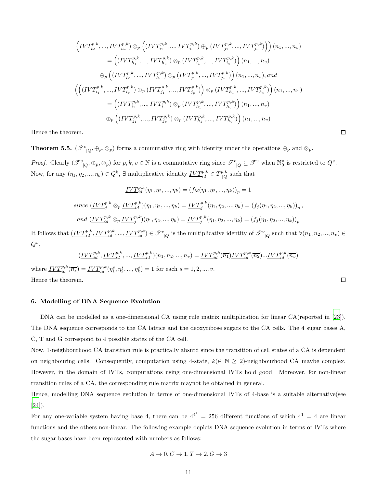$$
\left(IVT_{h_1}^{p,k}, ..., IVT_{h_v}^{p,k}) \otimes_p \left( (IVT_{i_1}^{p,k}, ..., IVT_{i_v}^{p,k}) \oplus_p (IVT_{j_1}^{p,k}, ..., IVT_{j_v}^{p,k}) \right) \right) (n_1, ..., n_v)
$$
\n
$$
= \left( (IVT_{h_1}^{p,k}, ..., IVT_{h_v}^{p,k}) \otimes_p (IVT_{i_1}^{p,k}, ..., IVT_{i_v}^{p,k}) \right) (n_1, ..., n_v)
$$
\n
$$
\oplus_p \left( (IVT_{h_1}^{p,k}, ..., IVT_{h_v}^{p,k}) \otimes_p (IVT_{j_1}^{p,k}, ..., IVT_{j_v}^{p,k}) \right) (n_1, ..., n_v), and
$$
\n
$$
\left( \left( (IVT_{i_1}^{p,k}, ..., IVT_{i_v}^{p,k}) \oplus_p (IVT_{j_1}^{p,k}, ..., IVT_{j_v}^{p,k}) \right) \otimes_p (IVT_{h_1}^{p,k}, ..., IVT_{h_v}^{p,k}) \right) (n_1, ..., n_v)
$$
\n
$$
= \left( (IVT_{i_1}^{p,k}, ..., IVT_{i_v}^{p,k}) \otimes_p (IVT_{h_1}^{p,k}, ..., IVT_{h_v}^{p,k}) \right) (n_1, ..., n_v)
$$
\n
$$
\oplus_p \left( (IVT_{j_1}^{p,k}, ..., IVT_{j_v}^{p,k}) \otimes_p (IVT_{h_1}^{p,k}, ..., IVT_{h_v}^{p,k}) \right) (n_1, ..., n_v)
$$

Hence the theorem.

**Theorem 5.5.**  $(\mathscr{T}^v_{\vert Q}, \oplus_p, \otimes_p)$  forms a commutative ring with identity under the operations  $\oplus_p$  and  $\otimes_p$ . *Proof.* Clearly  $(\mathcal{F}^v_{\vert Q}, \oplus_p, \otimes_p)$  for  $p, k, v \in \mathbb{N}$  is a commutative ring since  $\mathcal{F}^v_{\vert Q} \subseteq \mathcal{F}^v$  when  $\mathbb{N}_0^v$  is restricted to  $Q^v$ . Now, for any  $(\eta_1, \eta_2, ..., \eta_k) \in Q^k$ ,  $\exists$  multiplicative identity  $\underline{IVT}_{id}^{p,k} \in T_{|Q}^{p,k}$  $\int_{Q}^{p,\kappa}$  such that

$$
\underline{IVT}_{id}^{p,k}(\eta_1, \eta_2, ..., \eta_k) = (f_{id}(\eta_1, \eta_2, ..., \eta_k))_p = 1
$$
  
since  $(\underline{IVT}_j^{p,k} \otimes_p \underline{IVT}_{id}^{p,k})(\eta_1, \eta_2, ..., \eta_k) = \underline{IVT}_j^{p,k}(\eta_1, \eta_2, ..., \eta_k) = (f_j(\eta_1, \eta_2, ..., \eta_k))_p$ ,  
and  $(\underline{IVT}_{id}^{p,k} \otimes_p \underline{IVT}_j^{p,k})(\eta_1, \eta_2, ..., \eta_k) = \underline{IVT}_j^{p,k}(\eta_1, \eta_2, ..., \eta_k) = (f_j(\eta_1, \eta_2, ..., \eta_k))_p$ 

It follows that  $(\underline{IVT}_{id}^{p,k}, \underline{IVT}_{id}^{p,k}, ..., \underline{IVT}_{id}^{p,k}) \in \mathcal{F}_{|Q}^v$  is the multiplicative identity of  $\mathcal{F}_{|Q}^v$  such that  $\forall (n_1, n_2, ..., n_v) \in$  $Q^v$ 

$$
(\underline{IVT}_{id}^{p,k}, \underline{IVT}_{id}^{p,k}, ..., \underline{IVT}_{id}^{p,k})(n_1, n_2, ..., n_v) = \underline{IVT}_{id}^{p,k}(\overline{n_1}) \underline{IVT}_{id}^{p,k}(\overline{n_2})...\underline{IVT}_{id}^{p,k}(\overline{n_v})
$$
  
\n
$$
\underline{IVT}_{id}^{p,k}(\overline{n_s}, \overline{n_s}, ..., n_s) = \underline{1 \text{ for each } j=1, 2, ..., n_v}
$$

where  $\underline{IVT}_{id}^{p,k}(\overline{n_s}) = \underline{IVT}_{id}^{p,k}(\eta_1^s, \eta_2^s, ..., \eta_k^s) = 1$  for each  $s = 1, 2, ..., v$ . Hence the theorem.

#### 6. Modelling of DNA Sequence Evolution

DNA can be modelled as a one-dimensional CA using rule matrix multiplication for linear CA(reported in [\[23](#page-13-0)]). The DNA sequence corresponds to the CA lattice and the deoxyribose sugars to the CA cells. The 4 sugar bases A, C, T and G correspond to 4 possible states of the CA cell.

Now, 1-neighbourhood CA transition rule is practically absurd since the transition of cell states of a CA is dependent on neighbouring cells. Consequently, computation using 4-state,  $k(\in \mathbb{N} \geq 2)$ -neighbourhood CA maybe complex. However, in the domain of IVTs, computations using one-dimensional IVTs hold good. Moreover, for non-linear transition rules of a CA, the corresponding rule matrix maynot be obtained in general.

Hence, modelling DNA sequence evolution in terms of one-dimensional IVTs of 4-base is a suitable alternative(see [\[24](#page-13-1)]).

For any one-variable system having base 4, there can be  $4^{4} = 256$  different functions of which  $4^{1} = 4$  are linear functions and the others non-linear. The following example depicts DNA sequence evolution in terms of IVTs where the sugar bases have been represented with numbers as follows:

$$
A\rightarrow 0, C\rightarrow 1, T\rightarrow 2, G\rightarrow 3
$$

 $\Box$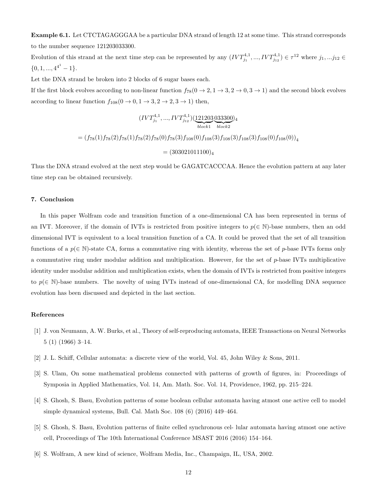Example 6.1. Let CTCTAGAGGGAA be a particular DNA strand of length 12 at some time. This strand corresponds to the number sequence 121203033300.

Evolution of this strand at the next time step can be represented by any  $(IVT_{j_1}^{4,1},...,IVT_{j_{12}}^{4,1}) \in \tau^{12}$  where  $j_1,...j_{12} \in$  $\{0, 1, ..., 4^{4^1} - 1\}.$ 

Let the DNA strand be broken into 2 blocks of 6 sugar bases each.

If the first block evolves according to non-linear function  $f_{78}(0 \to 2, 1 \to 3, 2 \to 0, 3 \to 1)$  and the second block evolves according to linear function  $f_{108}(0 \rightarrow 0, 1 \rightarrow 3, 2 \rightarrow 2, 3 \rightarrow 1)$  then,

$$
(IVT_{j_1}^{4,1}, ..., IVT_{j_{12}}^{4,1})(\underbrace{121203}_{block})^{(233300)_4}
$$
  
=  $(f_{78}(1)f_{78}(2)f_{78}(1)f_{78}(2)f_{78}(0)f_{78}(3)f_{108}(0)f_{108}(3)f_{108}(3)f_{108}(0)f_{108}(0))_4$   
=  $(303021011100)_4$ 

Thus the DNA strand evolved at the next step would be GAGATCACCCAA. Hence the evolution pattern at any later time step can be obtained recursively.

## 7. Conclusion

In this paper Wolfram code and transition function of a one-dimensional CA has been represented in terms of an IVT. Moreover, if the domain of IVTs is restricted from positive integers to  $p(\in \mathbb{N})$ -base numbers, then an odd dimensional IVT is equivalent to a local transition function of a CA. It could be proved that the set of all transition functions of a  $p(\in \mathbb{N})$ -state CA, forms a commutative ring with identity, whereas the set of p-base IVTs forms only a commutative ring under modular addition and multiplication. However, for the set of p-base IVTs multiplicative identity under modular addition and multiplication exists, when the domain of IVTs is restricted from positive integers to  $p \in \mathbb{N}$ -base numbers. The novelty of using IVTs instead of one-dimensional CA, for modelling DNA sequence evolution has been discussed and depicted in the last section.

## References

- <span id="page-11-0"></span>[1] J. von Neumann, A. W. Burks, et al., Theory of self-reproducing automata, IEEE Transactions on Neural Networks 5 (1) (1966) 3–14.
- <span id="page-11-1"></span>[2] J. L. Schiff, Cellular automata: a discrete view of the world, Vol. 45, John Wiley & Sons, 2011.
- <span id="page-11-2"></span>[3] S. Ulam, On some mathematical problems connected with patterns of growth of figures, in: Proceedings of Symposia in Applied Mathematics, Vol. 14, Am. Math. Soc. Vol. 14, Providence, 1962, pp. 215–224.
- <span id="page-11-3"></span>[4] S. Ghosh, S. Basu, Evolution patterns of some boolean cellular automata having atmost one active cell to model simple dynamical systems, Bull. Cal. Math Soc. 108 (6) (2016) 449–464.
- <span id="page-11-4"></span>[5] S. Ghosh, S. Basu, Evolution patterns of finite celled synchronous cel- lular automata having atmost one active cell, Proceedings of The 10th International Conference MSAST 2016 (2016) 154–164.
- <span id="page-11-5"></span>[6] S. Wolfram, A new kind of science, Wolfram Media, Inc., Champaign, IL, USA, 2002.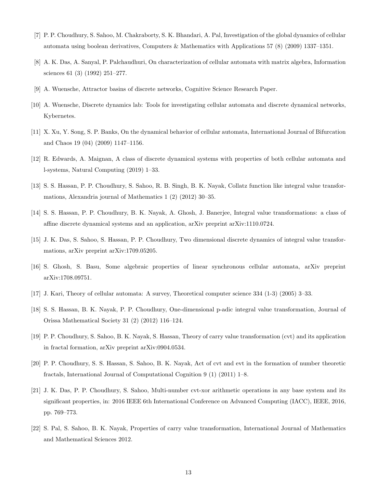- <span id="page-12-0"></span>[7] P. P. Choudhury, S. Sahoo, M. Chakraborty, S. K. Bhandari, A. Pal, Investigation of the global dynamics of cellular automata using boolean derivatives, Computers & Mathematics with Applications 57 (8) (2009) 1337–1351.
- <span id="page-12-1"></span>[8] A. K. Das, A. Sanyal, P. Palchaudhuri, On characterization of cellular automata with matrix algebra, Information sciences 61 (3) (1992) 251–277.
- <span id="page-12-2"></span>[9] A. Wuensche, Attractor basins of discrete networks, Cognitive Science Research Paper.
- <span id="page-12-3"></span>[10] A. Wuensche, Discrete dynamics lab: Tools for investigating cellular automata and discrete dynamical networks, Kybernetes.
- <span id="page-12-4"></span>[11] X. Xu, Y. Song, S. P. Banks, On the dynamical behavior of cellular automata, International Journal of Bifurcation and Chaos 19 (04) (2009) 1147–1156.
- <span id="page-12-5"></span>[12] R. Edwards, A. Maignan, A class of discrete dynamical systems with properties of both cellular automata and l-systems, Natural Computing (2019) 1–33.
- <span id="page-12-6"></span>[13] S. S. Hassan, P. P. Choudhury, S. Sahoo, R. B. Singh, B. K. Nayak, Collatz function like integral value transformations, Alexandria journal of Mathematics 1 (2) (2012) 30–35.
- <span id="page-12-7"></span>[14] S. S. Hassan, P. P. Choudhury, B. K. Nayak, A. Ghosh, J. Banerjee, Integral value transformations: a class of affine discrete dynamical systems and an application, arXiv preprint arXiv:1110.0724.
- <span id="page-12-8"></span>[15] J. K. Das, S. Sahoo, S. Hassan, P. P. Choudhury, Two dimensional discrete dynamics of integral value transformations, arXiv preprint arXiv:1709.05205.
- <span id="page-12-9"></span>[16] S. Ghosh, S. Basu, Some algebraic properties of linear synchronous cellular automata, arXiv preprint arXiv:1708.09751.
- <span id="page-12-10"></span>[17] J. Kari, Theory of cellular automata: A survey, Theoretical computer science 334 (1-3) (2005) 3–33.
- <span id="page-12-11"></span>[18] S. S. Hassan, B. K. Nayak, P. P. Choudhury, One-dimensional p-adic integral value transformation, Journal of Orissa Mathematical Society 31 (2) (2012) 116–124.
- <span id="page-12-12"></span>[19] P. P. Choudhury, S. Sahoo, B. K. Nayak, S. Hassan, Theory of carry value transformation (cvt) and its application in fractal formation, arXiv preprint arXiv:0904.0534.
- <span id="page-12-13"></span>[20] P. P. Choudhury, S. S. Hassan, S. Sahoo, B. K. Nayak, Act of cvt and evt in the formation of number theoretic fractals, International Journal of Computational Cognition 9 (1) (2011) 1–8.
- <span id="page-12-14"></span>[21] J. K. Das, P. P. Choudhury, S. Sahoo, Multi-number cvt-xor arithmetic operations in any base system and its significant properties, in: 2016 IEEE 6th International Conference on Advanced Computing (IACC), IEEE, 2016, pp. 769–773.
- <span id="page-12-15"></span>[22] S. Pal, S. Sahoo, B. K. Nayak, Properties of carry value transformation, International Journal of Mathematics and Mathematical Sciences 2012.